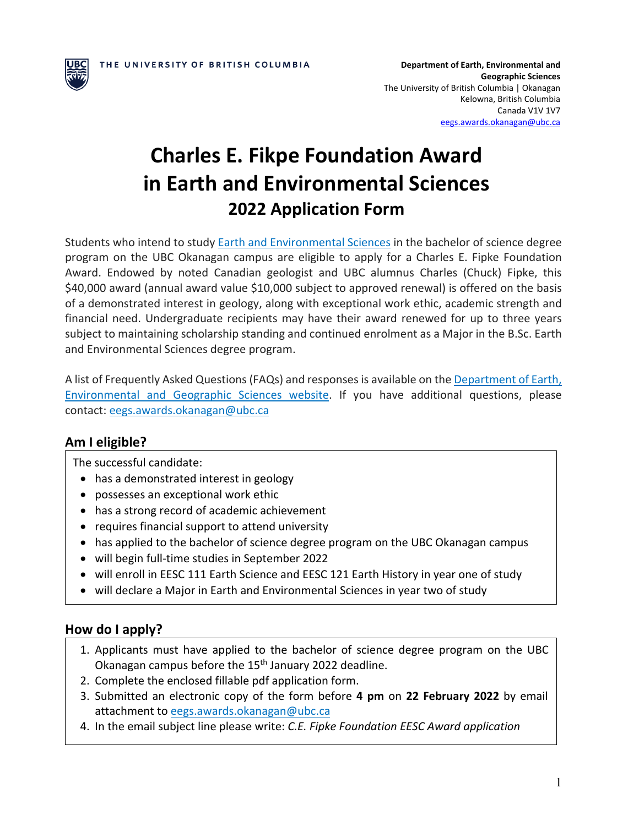

**Department of Earth, Environmental and Geographic Sciences** The University of British Columbia | Okanagan Kelowna, British Columbia Canada V1V 1V7 [eegs.awards.okanagan@ubc.ca](mailto:eegs.awards.okanagan@ubc.ca)

# **Charles E. Fikpe Foundation Award in Earth and Environmental Sciences 2022 Application Form**

Students who intend to study [Earth and Environmental Sciences](https://eegs.ok.ubc.ca/undergraduate/earth-environmental-sciences/) in the bachelor of science degree program on the UBC Okanagan campus are eligible to apply for a Charles E. Fipke Foundation Award. Endowed by noted Canadian geologist and UBC alumnus Charles (Chuck) Fipke, this \$40,000 award (annual award value \$10,000 subject to approved renewal) is offered on the basis of a demonstrated interest in geology, along with exceptional work ethic, academic strength and financial need. Undergraduate recipients may have their award renewed for up to three years subject to maintaining scholarship standing and continued enrolment as a Major in the B.Sc. Earth and Environmental Sciences degree program.

A list of Frequently Asked Questions (FAQs) and responsesis available on the [Department of Earth,](https://eegs.ok.ubc.ca/undergraduate/awards/)  [Environmental and Geographic Sciences website.](https://eegs.ok.ubc.ca/undergraduate/awards/) If you have additional questions, please contact: [eegs.awards.okanagan@ubc.ca](mailto:eegs.awards.okanagan@ubc.ca)

## **Am I eligible?**

The successful candidate:

- has a demonstrated interest in geology
- possesses an exceptional work ethic
- has a strong record of academic achievement
- requires financial support to attend university
- has applied to the bachelor of science degree program on the UBC Okanagan campus
- will begin full-time studies in September 2022
- will enroll in EESC 111 Earth Science and EESC 121 Earth History in year one of study
- will declare a Major in Earth and Environmental Sciences in year two of study

#### **How do I apply?**

- 1. Applicants must have applied to the bachelor of science degree program on the UBC Okanagan campus before the 15th January 2022 deadline.
- 2. Complete the enclosed fillable pdf application form.
- 3. Submitted an electronic copy of the form before **4 pm** on **22 February 2022** by email attachment to [eegs.awards.okanagan@ubc.ca](mailto:eegs.awards.okanagan@ubc.ca)
- 4. In the email subject line please write: *C.E. Fipke Foundation EESC Award application*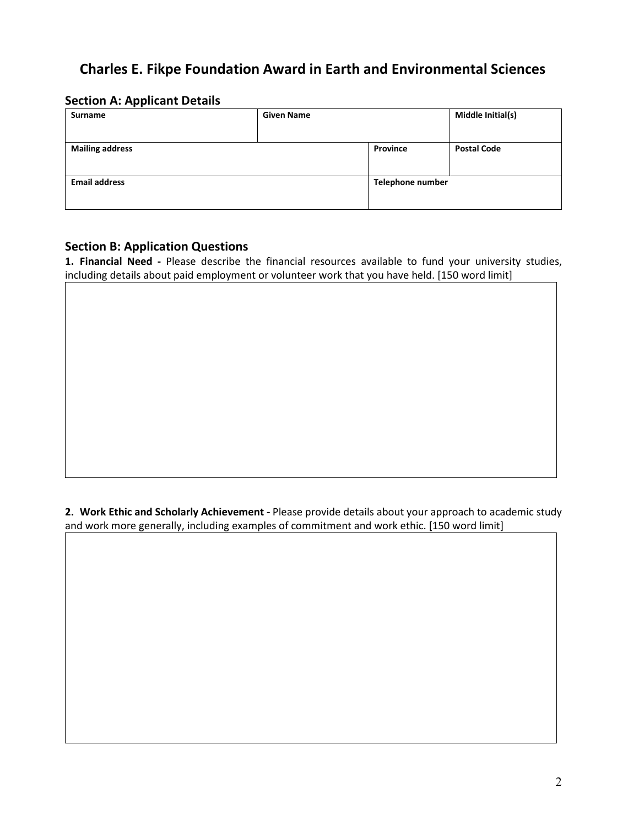# **Charles E. Fikpe Foundation Award in Earth and Environmental Sciences**

### **Section A: Applicant Details**

| <b>Surname</b>         | <b>Given Name</b> |                  | Middle Initial(s)  |
|------------------------|-------------------|------------------|--------------------|
| <b>Mailing address</b> |                   | Province         | <b>Postal Code</b> |
| <b>Email address</b>   |                   | Telephone number |                    |

#### **Section B: Application Questions**

**1. Financial Need -** Please describe the financial resources available to fund your university studies, including details about paid employment or volunteer work that you have held. [150 word limit]

**2. Work Ethic and Scholarly Achievement -** Please provide details about your approach to academic study and work more generally, including examples of commitment and work ethic. [150 word limit]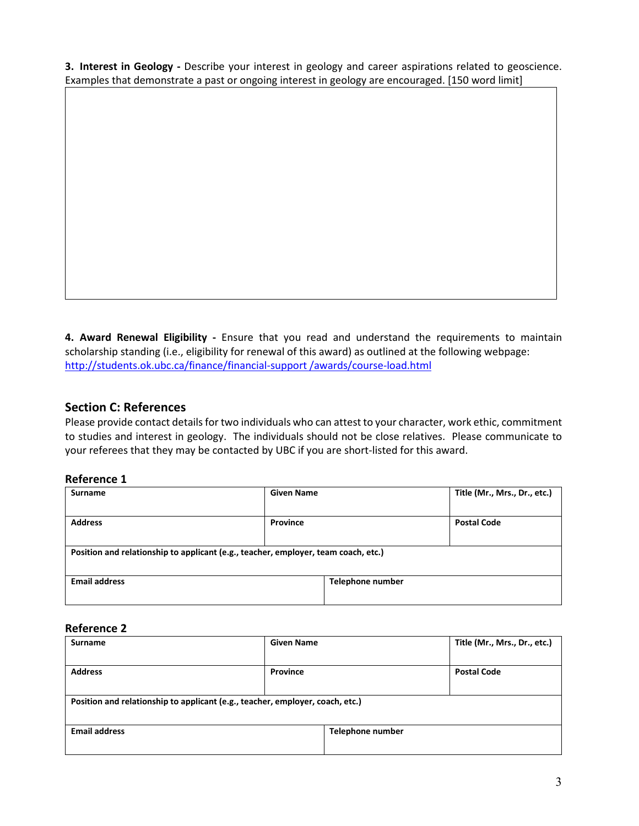**3. Interest in Geology -** Describe your interest in geology and career aspirations related to geoscience. Examples that demonstrate a past or ongoing interest in geology are encouraged. [150 word limit]

**4. Award Renewal Eligibility -** Ensure that you read and understand the requirements to maintain scholarship standing (i.e., eligibility for renewal of this award) as outlined at the following webpage: [http://students.ok.ubc.ca/finance/financial-support /awards/course-load.html](http://students.ok.ubc.ca/finance/financial-support%20/awards/course-load.html)

#### **Section C: References**

Please provide contact details for two individuals who can attest to your character, work ethic, commitment to studies and interest in geology. The individuals should not be close relatives. Please communicate to your referees that they may be contacted by UBC if you are short-listed for this award.

#### **Reference 1**

| <b>Surname</b>                                                                     | <b>Given Name</b> | Title (Mr., Mrs., Dr., etc.) |  |  |  |  |
|------------------------------------------------------------------------------------|-------------------|------------------------------|--|--|--|--|
|                                                                                    |                   |                              |  |  |  |  |
| <b>Address</b>                                                                     | Province          | <b>Postal Code</b>           |  |  |  |  |
|                                                                                    |                   |                              |  |  |  |  |
| Position and relationship to applicant (e.g., teacher, employer, team coach, etc.) |                   |                              |  |  |  |  |
|                                                                                    |                   |                              |  |  |  |  |
| <b>Email address</b>                                                               | Telephone number  |                              |  |  |  |  |
|                                                                                    |                   |                              |  |  |  |  |

#### **Reference 2**

| <b>Surname</b>                                                                | <b>Given Name</b> |                  | Title (Mr., Mrs., Dr., etc.) |  |  |  |
|-------------------------------------------------------------------------------|-------------------|------------------|------------------------------|--|--|--|
|                                                                               |                   |                  |                              |  |  |  |
| <b>Address</b>                                                                | <b>Province</b>   |                  | <b>Postal Code</b>           |  |  |  |
|                                                                               |                   |                  |                              |  |  |  |
| Position and relationship to applicant (e.g., teacher, employer, coach, etc.) |                   |                  |                              |  |  |  |
|                                                                               |                   |                  |                              |  |  |  |
| <b>Email address</b>                                                          |                   | Telephone number |                              |  |  |  |
|                                                                               |                   |                  |                              |  |  |  |